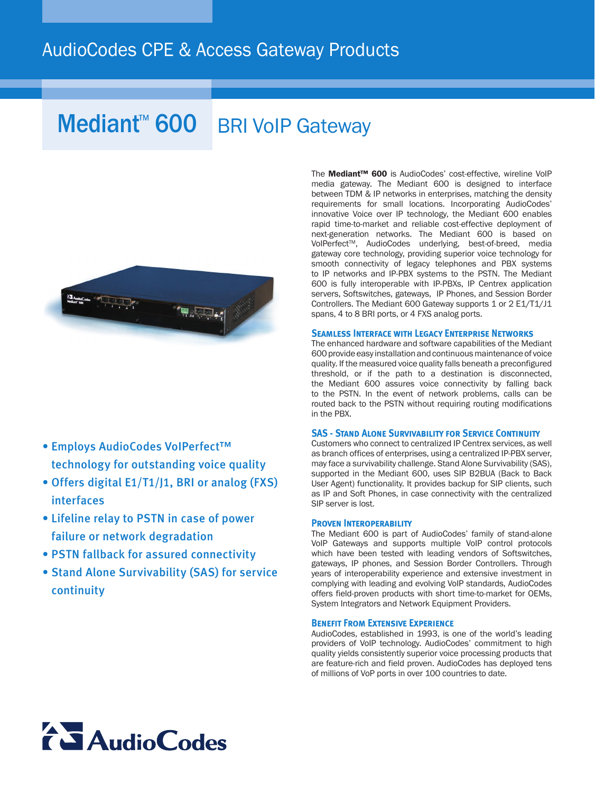### AudioCodes CPE & Access Gateway Products

# Mediant<sup>™</sup> 600 BRI VoIP Gateway



### • Employs AudioCodes VoIPerfect™ technology for outstanding voice quality

- Offers digital E1/T1/J1, BRI or analog (FXS) interfaces
- Lifeline relay to PSTN in case of power failure or network degradation
- PSTN fallback for assured connectivity
- Stand Alone Survivability (SAS) for service continuity

The Mediant™ 600 is AudioCodes' cost-effective, wireline VoIP media gateway. The Mediant 600 is designed to interface between TDM & IP networks in enterprises, matching the density requirements for small locations. Incorporating AudioCodes' innovative Voice over IP technology, the Mediant 600 enables rapid time-to-market and reliable cost-effective deployment of next-generation networks. The Mediant 600 is based on VoIPerfect™, AudioCodes underlying, best-of-breed, media gateway core technology, providing superior voice technology for smooth connectivity of legacy telephones and PBX systems to IP networks and IP-PBX systems to the PSTN. The Mediant 600 is fully interoperable with IP-PBXs, IP Centrex application servers, Softswitches, gateways, IP Phones, and Session Border Controllers. The Mediant 600 Gateway supports 1 or 2 E1/T1/J1 spans, 4 to 8 BRI ports, or 4 FXS analog ports.

### **Seamless Interface with Legacy Enterprise Networks**

The enhanced hardware and software capabilities of the Mediant 600 provide easy installation and continuous maintenance of voice quality. If the measured voice quality falls beneath a preconfigured threshold, or if the path to a destination is disconnected, the Mediant 600 assures voice connectivity by falling back to the PSTN. In the event of network problems, calls can be routed back to the PSTN without requiring routing modifications in the PBX.

### **SAS - STAND ALONE SURVIVABILITY FOR SERVICE CONTINUITY**

Customers who connect to centralized IP Centrex services, as well as branch offices of enterprises, using a centralized IP-PBX server, may face a survivability challenge. Stand Alone Survivability (SAS), supported in the Mediant 600, uses SIP B2BUA (Back to Back User Agent) functionality. It provides backup for SIP clients, such as IP and Soft Phones, in case connectivity with the centralized SIP server is lost.

### **Proven Interoperability**

The Mediant 600 is part of AudioCodes' family of stand-alone VoIP Gateways and supports multiple VoIP control protocols which have been tested with leading vendors of Softswitches, gateways, IP phones, and Session Border Controllers. Through years of interoperability experience and extensive investment in complying with leading and evolving VoIP standards, AudioCodes offers field-proven products with short time-to-market for OEMs, System Integrators and Network Equipment Providers.

### **Benefit From Extensive Experience**

AudioCodes, established in 1993, is one of the world's leading providers of VoIP technology. AudioCodes' commitment to high quality yields consistently superior voice processing products that are feature-rich and field proven. AudioCodes has deployed tens of millions of VoP ports in over 100 countries to date.